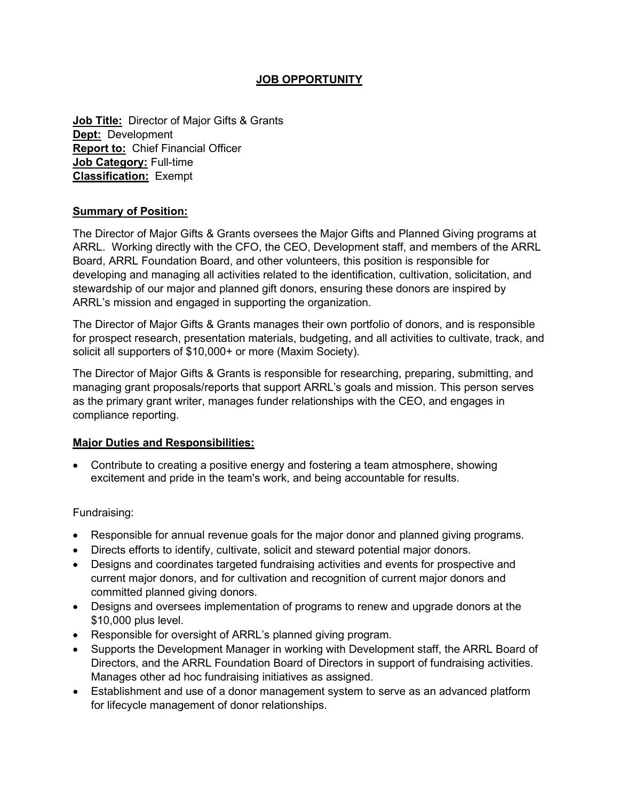## **JOB OPPORTUNITY**

**Job Title:** Director of Major Gifts & Grants **Dept:** Development **Report to:** Chief Financial Officer **Job Category:** Full-time **Classification:** Exempt

### **Summary of Position:**

The Director of Major Gifts & Grants oversees the Major Gifts and Planned Giving programs at ARRL. Working directly with the CFO, the CEO, Development staff, and members of the ARRL Board, ARRL Foundation Board, and other volunteers, this position is responsible for developing and managing all activities related to the identification, cultivation, solicitation, and stewardship of our major and planned gift donors, ensuring these donors are inspired by ARRL's mission and engaged in supporting the organization.

The Director of Major Gifts & Grants manages their own portfolio of donors, and is responsible for prospect research, presentation materials, budgeting, and all activities to cultivate, track, and solicit all supporters of \$10,000+ or more (Maxim Society).

The Director of Major Gifts & Grants is responsible for researching, preparing, submitting, and managing grant proposals/reports that support ARRL's goals and mission. This person serves as the primary grant writer, manages funder relationships with the CEO, and engages in compliance reporting.

#### **Major Duties and Responsibilities:**

• Contribute to creating a positive energy and fostering a team atmosphere, showing excitement and pride in the team's work, and being accountable for results.

Fundraising:

- Responsible for annual revenue goals for the major donor and planned giving programs.
- Directs efforts to identify, cultivate, solicit and steward potential major donors.
- Designs and coordinates targeted fundraising activities and events for prospective and current major donors, and for cultivation and recognition of current major donors and committed planned giving donors.
- Designs and oversees implementation of programs to renew and upgrade donors at the \$10,000 plus level.
- Responsible for oversight of ARRL's planned giving program.
- Supports the Development Manager in working with Development staff, the ARRL Board of Directors, and the ARRL Foundation Board of Directors in support of fundraising activities. Manages other ad hoc fundraising initiatives as assigned.
- Establishment and use of a donor management system to serve as an advanced platform for lifecycle management of donor relationships.